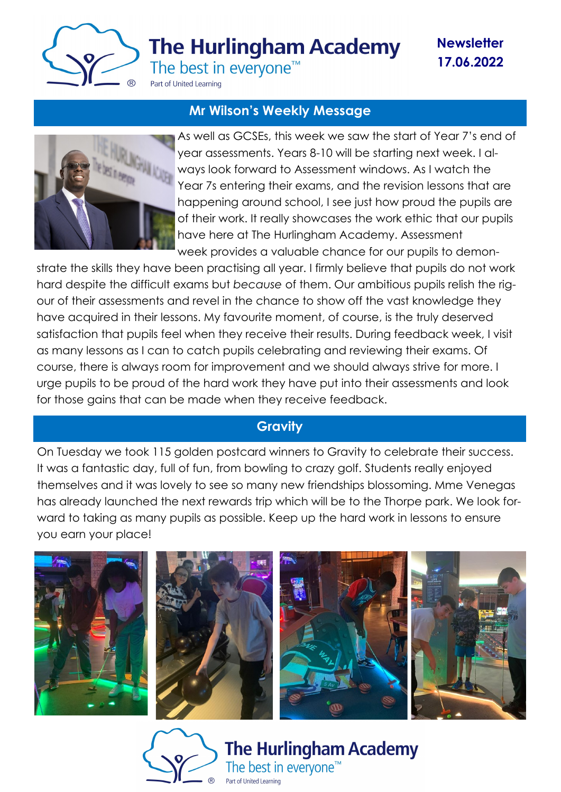

**The Hurlingham Academy** 

**Newsletter 17.06.2022**

The best in everyone<sup>™</sup>

Part of United Learning

# **Mr Wilson's Weekly Message**



As well as GCSEs, this week we saw the start of Year 7's end of year assessments. Years 8-10 will be starting next week. I always look forward to Assessment windows. As I watch the Year 7s entering their exams, and the revision lessons that are happening around school, I see just how proud the pupils are of their work. It really showcases the work ethic that our pupils have here at The Hurlingham Academy. Assessment week provides a valuable chance for our pupils to demon-

strate the skills they have been practising all year. I firmly believe that pupils do not work hard despite the difficult exams but *because* of them. Our ambitious pupils relish the rigour of their assessments and revel in the chance to show off the vast knowledge they have acquired in their lessons. My favourite moment, of course, is the truly deserved satisfaction that pupils feel when they receive their results. During feedback week, I visit as many lessons as I can to catch pupils celebrating and reviewing their exams. Of course, there is always room for improvement and we should always strive for more. I urge pupils to be proud of the hard work they have put into their assessments and look for those gains that can be made when they receive feedback.

# **Gravity**

On Tuesday we took 115 golden postcard winners to Gravity to celebrate their success. It was a fantastic day, full of fun, from bowling to crazy golf. Students really enjoyed themselves and it was lovely to see so many new friendships blossoming. Mme Venegas has already launched the next rewards trip which will be to the Thorpe park. We look forward to taking as many pupils as possible. Keep up the hard work in lessons to ensure you earn your place!



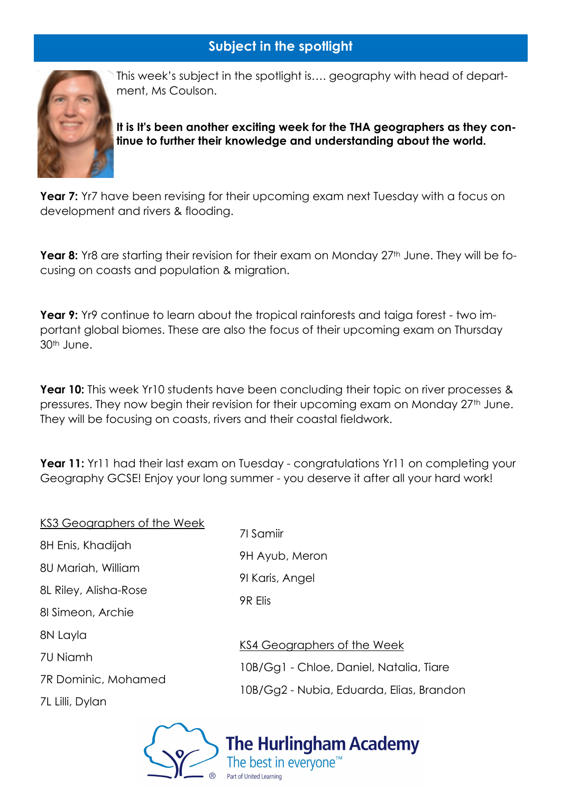# **Subject in the spotlight**



This week's subject in the spotlight is…. geography with head of department, Ms Coulson.

**It is It's been another exciting week for the THA geographers as they continue to further their knowledge and understanding about the world.**

**Year 7:** Yr7 have been revising for their upcoming exam next Tuesday with a focus on development and rivers & flooding.

Year 8: Yr8 are starting their revision for their exam on Monday 27<sup>th</sup> June. They will be focusing on coasts and population & migration.

**Year 9:** Yr9 continue to learn about the tropical rainforests and taiga forest - two important global biomes. These are also the focus of their upcoming exam on Thursday 30th June.

**Year 10:** This week Yr10 students have been concluding their topic on river processes & pressures. They now begin their revision for their upcoming exam on Monday 27<sup>th</sup> June. They will be focusing on coasts, rivers and their coastal fieldwork.

**Year 11:** Yr11 had their last exam on Tuesday - congratulations Yr11 on completing your Geography GCSE! Enjoy your long summer - you deserve it after all your hard work!

| KS3 Geographers of the Week |                                                             |  |
|-----------------------------|-------------------------------------------------------------|--|
|                             | 71 Samiir<br>9H Ayub, Meron<br>91 Karis, Angel<br>9R Elis   |  |
| 8H Enis, Khadijah           |                                                             |  |
| 8U Mariah, William          |                                                             |  |
| 8L Riley, Alisha-Rose       |                                                             |  |
| 81 Simeon, Archie           |                                                             |  |
| 8N Layla                    |                                                             |  |
| 7U Niamh                    | <b>KS4 Geographer</b><br>10B/Gg1 - Chloe<br>10B/Gg2 - Nubia |  |
|                             |                                                             |  |
| 7R Dominic, Mohamed         |                                                             |  |
| 7L Lilli, Dylan             |                                                             |  |
|                             |                                                             |  |

aphers of the Week Chloe, Daniel, Natalia, Tiare Nubia, Eduarda, Elias, Brandon

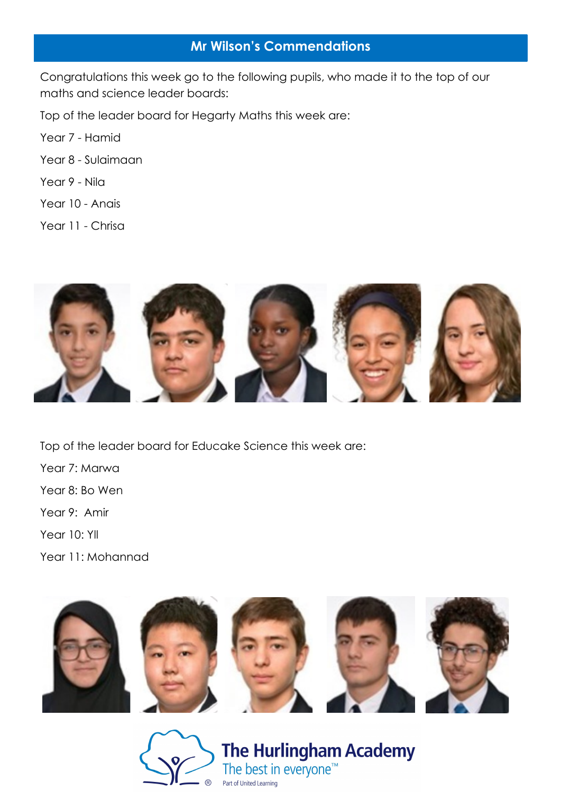# **Mr Wilson's Commendations**

Congratulations this week go to the following pupils, who made it to the top of our maths and science leader boards:

Top of the leader board for Hegarty Maths this week are:

Year 7 - Hamid

- Year 8 Sulaimaan
- Year 9 Nila
- Year 10 Anais

Year 11 - Chrisa



Top of the leader board for Educake Science this week are:

- Year 7: Marwa Year 8: Bo Wen
- Year 9: Amir
- Year 10: Yll
- Year 11: Mohannad



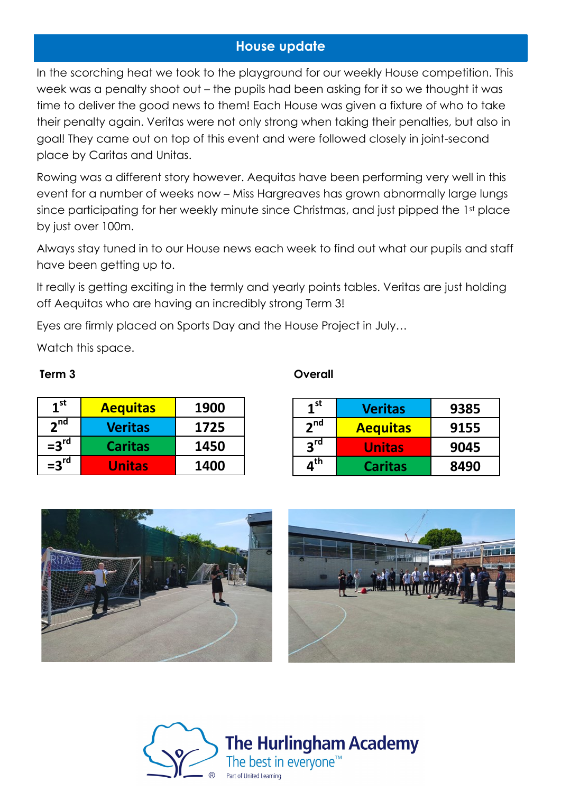# **House update**

In the scorching heat we took to the playground for our weekly House competition. This week was a penalty shoot out – the pupils had been asking for it so we thought it was time to deliver the good news to them! Each House was given a fixture of who to take their penalty again. Veritas were not only strong when taking their penalties, but also in goal! They came out on top of this event and were followed closely in joint-second place by Caritas and Unitas.

Rowing was a different story however. Aequitas have been performing very well in this event for a number of weeks now – Miss Hargreaves has grown abnormally large lungs since participating for her weekly minute since Christmas, and just pipped the 1st place by just over 100m.

Always stay tuned in to our House news each week to find out what our pupils and staff have been getting up to.

It really is getting exciting in the termly and yearly points tables. Veritas are just holding off Aequitas who are having an incredibly strong Term 3!

Eyes are firmly placed on Sports Day and the House Project in July…

Watch this space.

| 1 <sup>st</sup> | <b>Aequitas</b> | 1900 |
|-----------------|-----------------|------|
| 2 <sup>nd</sup> | <b>Veritas</b>  | 1725 |
| $=3rd$          | <b>Caritas</b>  | 1450 |
| $=3rd$          | <b>Unitas</b>   | 1400 |

### **Term 3 Overall**

| 1 <sup>st</sup>              | <b>Veritas</b>  | 9385 |
|------------------------------|-----------------|------|
| 2 <sup>nd</sup>              | <b>Aequitas</b> | 9155 |
| $2^{\text{rd}}$              | <b>Unitas</b>   | 9045 |
| $\boldsymbol{a}^{\text{th}}$ | <b>Caritas</b>  | 8490 |



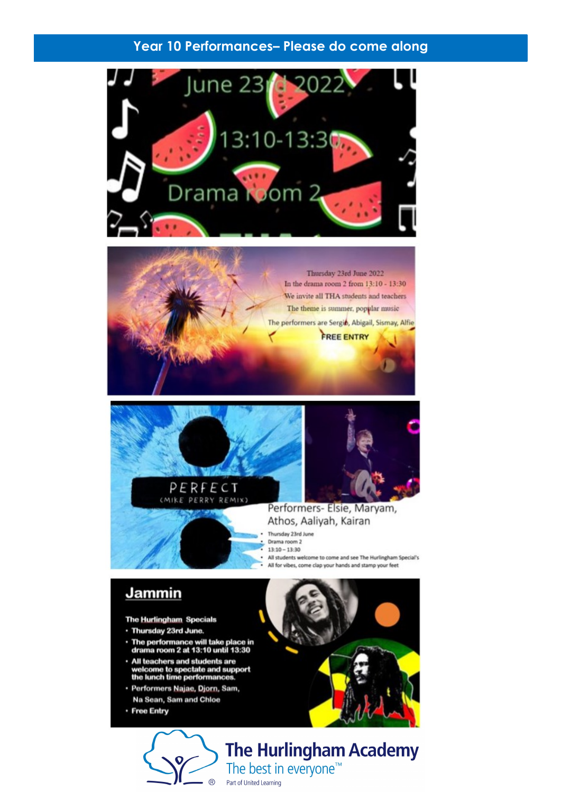## Year 10 Performances- Please do come along









Performers- Elsie, Maryam, Athos, Aaliyah, Kairan

Thursday 23rd June Drama room 2  $13:10 - 13:30$ All students welcome to come and see The Hurlingham Special's All for vibes, come clap your hands and stamp your feet

# Jammin

The Hurlingham Specials

- · Thursday 23rd June.
- · The performance will take place in<br>drama room 2 at 13:10 until 13:30
- All teachers and students are<br>welcome to spectate and support<br>the lunch time performances.
- · Performers Najae, Djorn, Sam, Na Sean, Sam and Chloe
- · Free Entry



**The Hurlingham Academy** The best in everyone<sup>™</sup> Part of United Learning